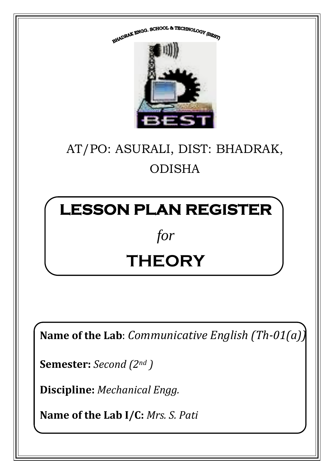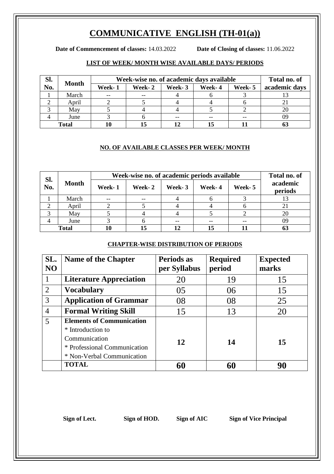## **COMMUNICATIVE ENGLISH (TH-01(a))**

**Date of Commencement of classes:** 14.03.2022 **Date of Closing of classes:** 11.06.2022

### **LIST OF WEEK/ MONTH WISE AVAILABLE DAYS/ PERIODS**

| SI.          | <b>Month</b> | Week-wise no. of academic days available | Total no. of |        |        |         |               |
|--------------|--------------|------------------------------------------|--------------|--------|--------|---------|---------------|
| No.          |              | Week-1                                   | Week-2       | Week-3 | Week-4 | Week- 5 | academic days |
|              | March        | $ -$                                     | $- -$        |        |        |         |               |
|              | April        |                                          |              |        |        |         |               |
|              | May          |                                          |              |        |        |         |               |
|              | June         |                                          |              |        |        |         | 09            |
| <b>Total</b> |              |                                          |              |        |        |         |               |

#### **NO. OF AVAILABLE CLASSES PER WEEK/ MONTH**

| Sl.<br>No.   | <b>Month</b> | Week-wise no. of academic periods available | Total no. of |        |        |         |                     |
|--------------|--------------|---------------------------------------------|--------------|--------|--------|---------|---------------------|
|              |              | Week-1                                      | Week- 2      | Week-3 | Week-4 | Week- 5 | academic<br>periods |
|              | March        | $- -$                                       | $- -$        |        |        |         |                     |
|              | April        |                                             |              |        |        |         | $\angle 1$          |
|              | May          |                                             |              |        |        |         | 20                  |
|              | June         |                                             |              |        |        | $-$     | 09                  |
| <b>Total</b> |              | 10                                          |              | 12     | 15     |         | 63                  |

#### **CHAPTER-WISE DISTRIBUTION OF PERIODS**

| SL.<br>NO      | <b>Name of the Chapter</b>       | Periods as<br>per Syllabus | <b>Required</b><br>period | <b>Expected</b><br>marks |
|----------------|----------------------------------|----------------------------|---------------------------|--------------------------|
| $\mathbf 1$    | <b>Literature Appreciation</b>   | 20                         | 19                        | 15                       |
| 2              | <b>Vocabulary</b>                | 0 <sub>5</sub>             | 06                        | 15                       |
| $\overline{3}$ | <b>Application of Grammar</b>    | 08                         | 08                        | 25                       |
| $\overline{4}$ | <b>Formal Writing Skill</b>      | 15                         | 13                        | 20                       |
| 5              | <b>Elements of Communication</b> |                            |                           |                          |
|                | * Introduction to                |                            |                           |                          |
|                | Communication                    | 12                         | 14                        | 15                       |
|                | * Professional Communication     |                            |                           |                          |
|                | * Non-Verbal Communication       |                            |                           |                          |
|                | <b>TOTAL</b>                     | 60                         | 60                        | 90                       |

**Sign of Lect. Sign of HOD. Sign of AIC Sign of Vice Principal**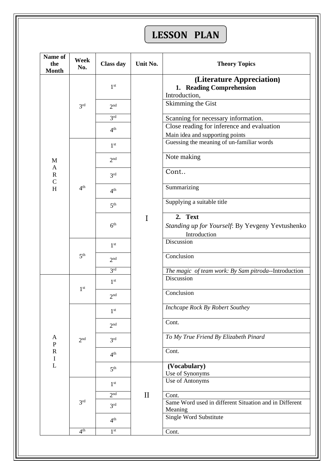# **LESSON PLAN**

| Name of<br>the<br><b>Month</b> | Week<br>No.     | <b>Class day</b> | Unit No.     | <b>Theory Topics</b>                                                          |
|--------------------------------|-----------------|------------------|--------------|-------------------------------------------------------------------------------|
|                                | 3 <sup>rd</sup> | 1 <sup>st</sup>  |              | (Literature Appreciation)<br>1. Reading Comprehension<br>Introduction,        |
|                                |                 | 2 <sup>nd</sup>  |              | Skimming the Gist                                                             |
|                                |                 | 3 <sup>rd</sup>  |              | Scanning for necessary information.                                           |
|                                |                 | 4 <sup>th</sup>  |              | Close reading for inference and evaluation<br>Main idea and supporting points |
|                                |                 | 1 <sup>st</sup>  |              | Guessing the meaning of un-familiar words                                     |
| $\mathbf{M}$                   |                 | 2 <sup>nd</sup>  |              | Note making                                                                   |
| A<br>${\bf R}$<br>$\mathsf{C}$ |                 | 3 <sup>rd</sup>  |              | Cont                                                                          |
| H                              | 4 <sup>th</sup> | 4 <sup>th</sup>  |              | Summarizing                                                                   |
|                                |                 | 5 <sup>th</sup>  |              | Supplying a suitable title                                                    |
|                                |                 | 6 <sup>th</sup>  | I            | 2. Text<br>Standing up for Yourself: By Yevgeny Yevtushenko<br>Introduction   |
|                                | 5 <sup>th</sup> | 1 <sup>st</sup>  |              | Discussion                                                                    |
|                                |                 | 2 <sup>nd</sup>  |              | Conclusion                                                                    |
|                                |                 | 3 <sup>rd</sup>  |              | The magic of team work: By Sam pitroda--Introduction                          |
|                                | 1 <sup>st</sup> | 1 <sup>st</sup>  |              | Discussion                                                                    |
|                                |                 | 2 <sup>nd</sup>  |              | Conclusion                                                                    |
|                                | 2 <sup>nd</sup> | 1 <sup>st</sup>  |              | Inchcape Rock By Robert Southey                                               |
|                                |                 | 2 <sup>nd</sup>  |              | Cont.                                                                         |
| A<br>$\mathbf{P}$              |                 | 3 <sup>rd</sup>  |              | To My True Friend By Elizabeth Pinard                                         |
| $\mathbf R$<br>$\bf{I}$        |                 | 4 <sup>th</sup>  |              | Cont.                                                                         |
| L                              |                 | 5 <sup>th</sup>  |              | (Vocabulary)<br>Use of Synonyms                                               |
|                                |                 | 1 <sup>st</sup>  | $\mathbf{I}$ | Use of Antonyms                                                               |
|                                |                 | 2 <sup>nd</sup>  |              | Cont.                                                                         |
|                                | 3 <sup>rd</sup> | 3 <sup>rd</sup>  |              | Same Word used in different Situation and in Different<br>Meaning             |
|                                |                 | 4 <sup>th</sup>  |              | Single Word Substitute                                                        |
|                                | 4 <sup>th</sup> | 1 <sup>st</sup>  |              | Cont.                                                                         |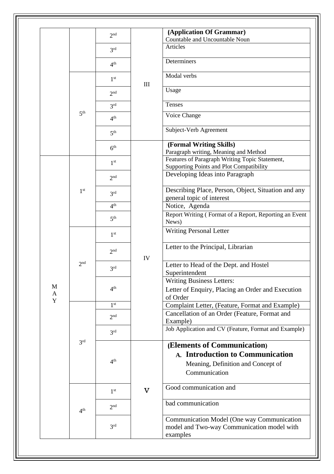|        |                 | 2 <sub>nd</sub> |                         | (Application Of Grammar)<br>Countable and Uncountable Noun                                                             |
|--------|-----------------|-----------------|-------------------------|------------------------------------------------------------------------------------------------------------------------|
|        |                 | 3 <sup>rd</sup> |                         | Articles                                                                                                               |
|        |                 | 4 <sup>th</sup> |                         | Determiners                                                                                                            |
|        |                 | 1 <sup>st</sup> | $\mathop{\rm III}$      | Modal verbs                                                                                                            |
|        |                 | 2 <sup>nd</sup> |                         | Usage                                                                                                                  |
|        |                 | 3 <sup>rd</sup> |                         | Tenses                                                                                                                 |
|        | 5 <sup>th</sup> | 4 <sup>th</sup> |                         | Voice Change                                                                                                           |
|        |                 | 5 <sup>th</sup> |                         | Subject-Verb Agreement                                                                                                 |
|        |                 | 6 <sup>th</sup> |                         | (Formal Writing Skills)                                                                                                |
|        |                 | 1 <sup>st</sup> |                         | Paragraph writing, Meaning and Method<br>Features of Paragraph Writing Topic Statement,                                |
|        |                 |                 |                         | Supporting Points and Plot Compatibility<br>Developing Ideas into Paragraph                                            |
|        |                 | 2 <sup>nd</sup> |                         |                                                                                                                        |
|        | 1 <sup>st</sup> | 3 <sup>rd</sup> |                         | Describing Place, Person, Object, Situation and any                                                                    |
|        |                 | 4 <sup>th</sup> |                         | general topic of interest<br>Notice, Agenda                                                                            |
|        |                 | 5 <sup>th</sup> |                         | Report Writing (Format of a Report, Reporting an Event<br>News)                                                        |
|        |                 | 1 <sup>st</sup> |                         | <b>Writing Personal Letter</b>                                                                                         |
|        |                 | 2 <sub>nd</sub> | IV                      | Letter to the Principal, Librarian                                                                                     |
|        | 2 <sub>nd</sub> | 2rd             |                         | Letter to Head of the Dept. and Hostel<br>Superintendent                                                               |
|        |                 |                 |                         | Writing Business Letters:                                                                                              |
| M<br>A |                 | 4 <sup>th</sup> |                         | Letter of Enquiry, Placing an Order and Execution<br>of Order                                                          |
| Y      |                 | 1 <sup>st</sup> |                         | Complaint Letter, (Feature, Format and Example)                                                                        |
|        |                 | 2 <sup>nd</sup> |                         | Cancellation of an Order (Feature, Format and<br>Example)                                                              |
|        |                 | 3 <sup>rd</sup> |                         | Job Application and CV (Feature, Format and Example)                                                                   |
|        | 3 <sup>rd</sup> | 4 <sup>th</sup> | $\overline{\mathbf{V}}$ | (Elements of Communication)<br>A. Introduction to Communication<br>Meaning, Definition and Concept of<br>Communication |
|        |                 | 1 <sup>st</sup> |                         | Good communication and                                                                                                 |
|        | 4 <sup>th</sup> | 2 <sup>nd</sup> |                         | bad communication                                                                                                      |
|        |                 | 3 <sup>rd</sup> |                         | Communication Model (One way Communication<br>model and Two-way Communication model with<br>examples                   |